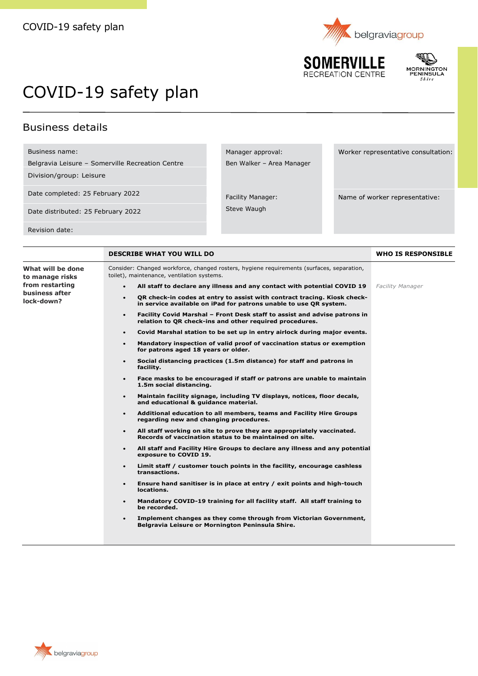

REATION CENTRE



Worker representative consultation:

Name of worker representative:

## COVID-19 safety plan

## Business details

Business name:

Belgravia Leisure – Somerville Recreation Centre

Division/group: Leisure

Date completed: 25 February 2022

Date distributed: 25 February 2022

Revision date:

**DESCRIBE WHAT YOU WILL DO WHO IS RESPONSIBLE What will be done to manage risks from restarting business after lock-down?** Consider: Changed workforce, changed rosters, hygiene requirements (surfaces, separation, toilet), maintenance, ventilation systems. • **All staff to declare any illness and any contact with potential COVID 19** • **QR check-in codes at entry to assist with contract tracing. Kiosk checkin service available on iPad for patrons unable to use QR system.**  • **Facility Covid Marshal – Front Desk staff to assist and advise patrons in relation to QR check-ins and other required procedures.** • **Covid Marshal station to be set up in entry airlock during major events.**  • **Mandatory inspection of valid proof of vaccination status or exemption for patrons aged 18 years or older.** • **Social distancing practices (1.5m distance) for staff and patrons in facility.**  • **Face masks to be encouraged if staff or patrons are unable to maintain 1.5m social distancing.** • **Maintain facility signage, including TV displays, notices, floor decals, and educational & guidance material.** • **Additional education to all members, teams and Facility Hire Groups regarding new and changing procedures.** • **All staff working on site to prove they are appropriately vaccinated. Records of vaccination status to be maintained on site.**  • **All staff and Facility Hire Groups to declare any illness and any potential exposure to COVID 19.** • **Limit staff / customer touch points in the facility, encourage cashless transactions.** • **Ensure hand sanitiser is in place at entry / exit points and high-touch locations.** • **Mandatory COVID-19 training for all facility staff. All staff training to be recorded.** • **Implement changes as they come through from Victorian Government, Belgravia Leisure or Mornington Peninsula Shire.**  *Facility Manager*

Facility Manager: Steve Waugh

Manager approval:

Ben Walker – Area Manager

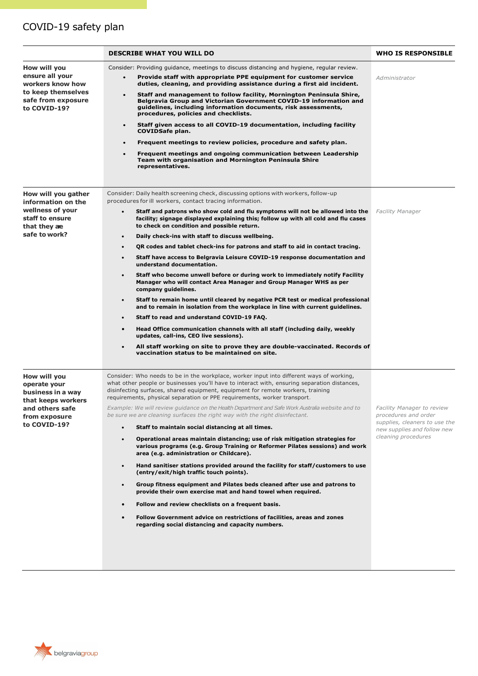## COVID-19 safety plan

|                                                                                                                             | <b>DESCRIBE WHAT YOU WILL DO</b>                                                                                                                                                                                                                                                                                                                                                                                                                                                                                                                                                                                                                                                                                                                                                                                                                                                                                                                                                                                                                                                                                                                                                                                                                                                                                                                                                               | <b>WHO IS RESPONSIBLE</b>                                                                                                                 |
|-----------------------------------------------------------------------------------------------------------------------------|------------------------------------------------------------------------------------------------------------------------------------------------------------------------------------------------------------------------------------------------------------------------------------------------------------------------------------------------------------------------------------------------------------------------------------------------------------------------------------------------------------------------------------------------------------------------------------------------------------------------------------------------------------------------------------------------------------------------------------------------------------------------------------------------------------------------------------------------------------------------------------------------------------------------------------------------------------------------------------------------------------------------------------------------------------------------------------------------------------------------------------------------------------------------------------------------------------------------------------------------------------------------------------------------------------------------------------------------------------------------------------------------|-------------------------------------------------------------------------------------------------------------------------------------------|
| How will you<br>ensure all your<br>workers know how<br>to keep themselves<br>safe from exposure<br>to COVID-19?             | Consider: Providing guidance, meetings to discuss distancing and hygiene, regular review.<br>Provide staff with appropriate PPE equipment for customer service<br>duties, cleaning, and providing assistance during a first aid incident.<br>Staff and management to follow facility, Mornington Peninsula Shire,<br>Belgravia Group and Victorian Government COVID-19 information and<br>guidelines, including information documents, risk assessments,<br>procedures, policies and checklists.<br>Staff given access to all COVID-19 documentation, including facility<br>$\bullet$<br><b>COVIDSafe plan.</b><br>Frequent meetings to review policies, procedure and safety plan.<br>$\bullet$<br>Frequent meetings and ongoing communication between Leadership<br>Team with organisation and Mornington Peninsula Shire<br>representatives.                                                                                                                                                                                                                                                                                                                                                                                                                                                                                                                                                | Administrator                                                                                                                             |
| How will you gather<br>information on the<br>wellness of your<br>staff to ensure<br>that they ae<br>safe to work?           | Consider: Daily health screening check, discussing options with workers, follow-up<br>procedures for ill workers, contact tracing information.<br>Staff and patrons who show cold and flu symptoms will not be allowed into the<br>$\bullet$<br>facility; signage displayed explaining this; follow up with all cold and flu cases<br>to check on condition and possible return.<br>Daily check-ins with staff to discuss wellbeing.<br>$\bullet$<br>OR codes and tablet check-ins for patrons and staff to aid in contact tracing.<br>$\bullet$<br>Staff have access to Belgravia Leisure COVID-19 response documentation and<br>$\bullet$<br>understand documentation.<br>Staff who become unwell before or during work to immediately notify Facility<br>$\bullet$<br>Manager who will contact Area Manager and Group Manager WHS as per<br>company guidelines.<br>Staff to remain home until cleared by negative PCR test or medical professional<br>$\bullet$<br>and to remain in isolation from the workplace in line with current guidelines.<br>Staff to read and understand COVID-19 FAQ.<br>$\bullet$<br>Head Office communication channels with all staff (including daily, weekly<br>$\bullet$<br>updates, call-ins, CEO live sessions).<br>All staff working on site to prove they are double-vaccinated. Records of<br>$\bullet$<br>vaccination status to be maintained on site. | <b>Facility Manager</b>                                                                                                                   |
| How will you<br>operate your<br>business in a way<br>that keeps workers<br>and others safe<br>from exposure<br>to COVID-19? | Consider: Who needs to be in the workplace, worker input into different ways of working,<br>what other people or businesses you'll have to interact with, ensuring separation distances,<br>disinfecting surfaces, shared equipment, equipment for remote workers, training<br>requirements, physical separation or PPE requirements, worker transport.<br>Example: We will review guidance on the Health Department and Safe Work Australia website and to<br>be sure we are cleaning surfaces the right way with the right disinfectant.<br>Staff to maintain social distancing at all times.<br>$\bullet$<br>Operational areas maintain distancing; use of risk mitigation strategies for<br>$\bullet$<br>various programs (e.g. Group Training or Reformer Pilates sessions) and work<br>area (e.g. administration or Childcare).<br>Hand sanitiser stations provided around the facility for staff/customers to use<br>$\bullet$<br>(entry/exit/high traffic touch points).<br>Group fitness equipment and Pilates beds cleaned after use and patrons to<br>$\bullet$<br>provide their own exercise mat and hand towel when required.<br>Follow and review checklists on a frequent basis.<br>$\bullet$<br>Follow Government advice on restrictions of facilities, areas and zones<br>$\bullet$<br>regarding social distancing and capacity numbers.                                      | Facility Manager to review<br>procedures and order<br>supplies, cleaners to use the<br>new supplies and follow new<br>cleaning procedures |

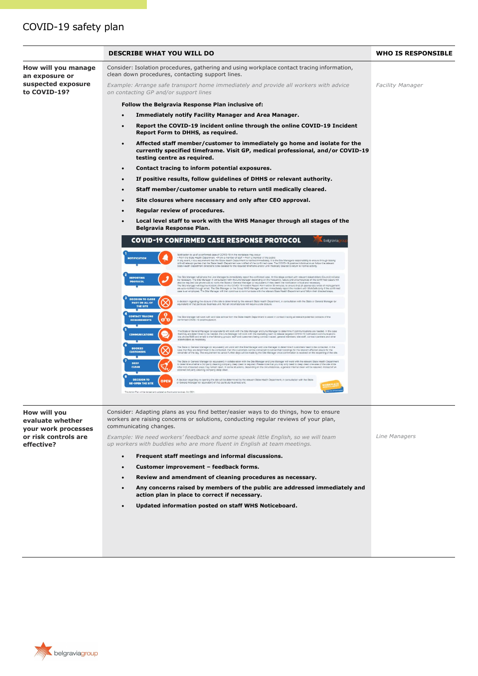|                                       | <b>DESCRIBE WHAT YOU WILL DO</b>                                                                                                                                                                                                                                                                                                                                                                                                                                                                                                                                                                                                                                          | <b>WHO IS RESPONSIBLE</b> |
|---------------------------------------|---------------------------------------------------------------------------------------------------------------------------------------------------------------------------------------------------------------------------------------------------------------------------------------------------------------------------------------------------------------------------------------------------------------------------------------------------------------------------------------------------------------------------------------------------------------------------------------------------------------------------------------------------------------------------|---------------------------|
| How will you manage<br>an exposure or | Consider: Isolation procedures, gathering and using workplace contact tracing information,<br>clean down procedures, contacting support lines.                                                                                                                                                                                                                                                                                                                                                                                                                                                                                                                            |                           |
| suspected exposure<br>to COVID-19?    | Example: Arrange safe transport home immediately and provide all workers with advice<br>on contacting GP and/or support lines                                                                                                                                                                                                                                                                                                                                                                                                                                                                                                                                             | <b>Facility Manager</b>   |
|                                       | Follow the Belgravia Response Plan inclusive of:                                                                                                                                                                                                                                                                                                                                                                                                                                                                                                                                                                                                                          |                           |
|                                       | <b>Immediately notify Facility Manager and Area Manager.</b>                                                                                                                                                                                                                                                                                                                                                                                                                                                                                                                                                                                                              |                           |
|                                       | Report the COVID-19 incident online through the online COVID-19 Incident<br>Report Form to DHHS, as required.                                                                                                                                                                                                                                                                                                                                                                                                                                                                                                                                                             |                           |
|                                       | Affected staff member/customer to immediately go home and isolate for the<br>currently specified timeframe. Visit GP, medical professional, and/or COVID-19<br>testing centre as required.                                                                                                                                                                                                                                                                                                                                                                                                                                                                                |                           |
|                                       | Contact tracing to inform potential exposures.<br>$\bullet$                                                                                                                                                                                                                                                                                                                                                                                                                                                                                                                                                                                                               |                           |
|                                       | If positive results, follow guidelines of DHHS or relevant authority.<br>$\bullet$                                                                                                                                                                                                                                                                                                                                                                                                                                                                                                                                                                                        |                           |
|                                       | Staff member/customer unable to return until medically cleared.                                                                                                                                                                                                                                                                                                                                                                                                                                                                                                                                                                                                           |                           |
|                                       | Site closures where necessary and only after CEO approval.                                                                                                                                                                                                                                                                                                                                                                                                                                                                                                                                                                                                                |                           |
|                                       | Regular review of procedures.                                                                                                                                                                                                                                                                                                                                                                                                                                                                                                                                                                                                                                             |                           |
|                                       | Local level staff to work with the WHS Manager through all stages of the<br>Belgravia Response Plan.                                                                                                                                                                                                                                                                                                                                                                                                                                                                                                                                                                      |                           |
|                                       | <b>COVID-19 CONFIRMED CASE RESPONSE PROTOCOL</b><br>belgraviagro                                                                                                                                                                                                                                                                                                                                                                                                                                                                                                                                                                                                          |                           |
|                                       | Notification to us of a confirmed case of COVID-19 in the workplace may occur<br>· From the State Health Department · From a member of staff · From a member of the public<br>In any event, it is a requirement that the State Health Department is notified immediately, it is the Ste Managers responsibility to<br><b>NOTIFICATION</b><br>State Health Department directions to be isolated for the required timeframe and/or until medically cleared to return to normal activity.                                                                                                                                                                                    |                           |
|                                       | The Site Manager will phone the Line Manager to immediately report the confirmed case. At this stage contact with relevant stakeholders (Council) will also<br><b>REPORTING</b><br>be necessary. The Site Manager in consultation with the Line Manager depending on the frequency, nature and circumstances of the confirmed case/s will<br>also be required (via phone call) to notify the State or General Manage<br><b>PROTOCOL</b><br>The Site Manager will log the incident online on the COVID-19 incident Report Form within 30 minutes; to ensure that all appropriate levels of management and all propriate levels of management of the Site online incredible |                           |
|                                       | <b>DECISION TO CLOSE</b><br>A decision regarding the closure of the site is determined by the relevant State Health Department, in consultation with the State or General Manager (or<br><b>PART OR ALL OF</b><br>equivalent) of that particular business unit. Not all circumstances will require a site closure.<br>THE SITE                                                                                                                                                                                                                                                                                                                                            |                           |
|                                       | e<br><b>CONTACT TRACING</b><br>The Site Manager will work with and take advice from the State Health Department to assist in contact tracing all relevant potential contacts of the<br>൙<br><b>REQUIREMENTS</b><br>confirmed COVID-19 positive person                                                                                                                                                                                                                                                                                                                                                                                                                     |                           |
|                                       | The State or General Manager (or equivalent) will work with the Site Manager and Line Manager to determine if co<br>cations are needed. In the case<br>æ<br>that they are determined to be needed, the Line Manager will work with the marketing team to release targeted COVID-19 notification commu<br><b>COMMUNICATIONS</b><br>(via phone/SMS and email) to the following groups: staff and customers being contract traced, general members, site staff, contract partners and other<br>stakeholders as necessary.                                                                                                                                                    |                           |
|                                       | The State or General Manager (or equivalent) will work with the Site Manager and Line Manager to determine if customers need to be contacted. In the<br><b>BOOKED</b><br>case that they are determined to be contacted, then the customers can be contacted to cancel their bookings for the relevant affected area/s for the<br>remainder of the day. The requirement to cancel further days will be made<br><b>CUSTOMERS</b>                                                                                                                                                                                                                                            |                           |
|                                       | The State or General Manager (or equivalent) in collaboration with the Site Manager and Line Manager will work with the relevant State Health Department<br>DEEP<br>to determine whether a 3rd party cleaning company deep clean is required. Please note that you may only need to deep clean one area of the site while<br><b>CLEAN</b><br>other non-impacted areas may remain open. In some situations, depending on the circumstances, a general internal clean will be required, instead of an<br>external 3rd party cleaning company deep clean.                                                                                                                    |                           |
|                                       | <b>DECISION TO</b><br>regarding re-opening the site will be determined by the relevant State Health Department, in consultation with the State<br><b>OPEN</b><br>or General Manager (or equivalent) of that particular business unit.<br><b>RE-OPEN THE SITE</b><br>This Action Plan will be revised and updated as the situation evolves. Oct 2021                                                                                                                                                                                                                                                                                                                       |                           |
|                                       |                                                                                                                                                                                                                                                                                                                                                                                                                                                                                                                                                                                                                                                                           |                           |

**How will you evaluate whether your work processes or risk controls are effective?** Consider: Adapting plans as you find better/easier ways to do things, how to ensure workers are raising concerns or solutions, conducting regular reviews of your plan, communicating changes. *Example: We need workers' feedback and some speak little English, so we will team up workers with buddies who are more fluent in English at team meetings.* • **Frequent staff meetings and informal discussions.** • **Customer improvement – feedback forms.** • **Review and amendment of cleaning procedures as necessary.** • **Any concerns raised by members of the public are addressed immediately and action plan in place to correct if necessary.** • **Updated information posted on staff WHS Noticeboard.** *Line Managers*